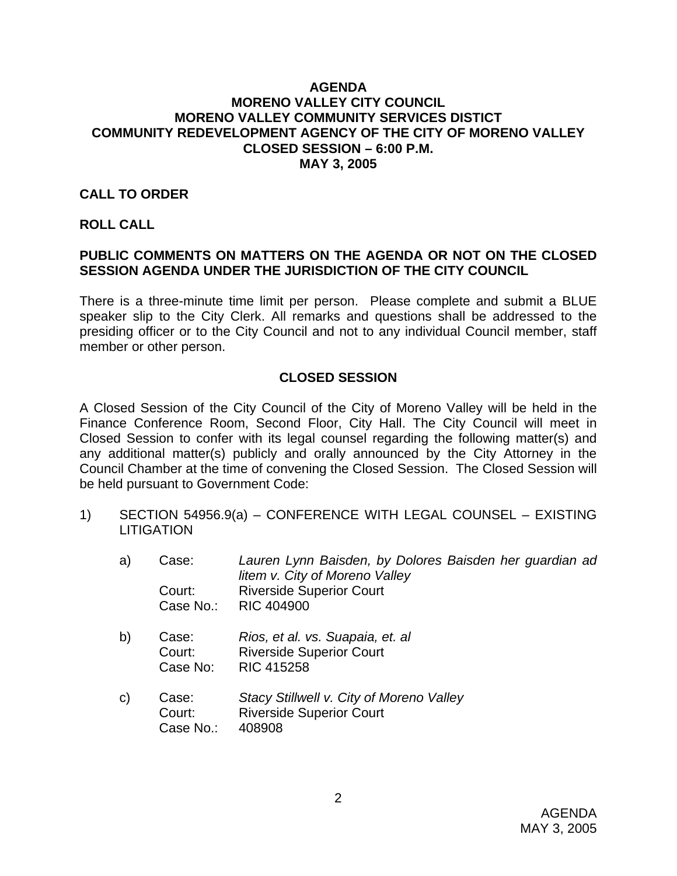### **AGENDA MORENO VALLEY CITY COUNCIL MORENO VALLEY COMMUNITY SERVICES DISTICT COMMUNITY REDEVELOPMENT AGENCY OF THE CITY OF MORENO VALLEY CLOSED SESSION – 6:00 P.M. MAY 3, 2005**

### **CALL TO ORDER**

#### **ROLL CALL**

## **PUBLIC COMMENTS ON MATTERS ON THE AGENDA OR NOT ON THE CLOSED SESSION AGENDA UNDER THE JURISDICTION OF THE CITY COUNCIL**

There is a three-minute time limit per person. Please complete and submit a BLUE speaker slip to the City Clerk. All remarks and questions shall be addressed to the presiding officer or to the City Council and not to any individual Council member, staff member or other person.

## **CLOSED SESSION**

A Closed Session of the City Council of the City of Moreno Valley will be held in the Finance Conference Room, Second Floor, City Hall. The City Council will meet in Closed Session to confer with its legal counsel regarding the following matter(s) and any additional matter(s) publicly and orally announced by the City Attorney in the Council Chamber at the time of convening the Closed Session. The Closed Session will be held pursuant to Government Code:

- 1) SECTION 54956.9(a) CONFERENCE WITH LEGAL COUNSEL EXISTING **LITIGATION** 
	- a) Case: *Lauren Lynn Baisden, by Dolores Baisden her guardian ad litem v. City of Moreno Valley*  Court: Riverside Superior Court Case No.: RIC 404900
	- b) Case: *Rios, et al. vs. Suapaia, et. al* Court: Riverside Superior Court Case No: RIC 415258
	- c) Case: *Stacy Stillwell v. City of Moreno Valley*  Court: Riverside Superior Court Case No.: 408908